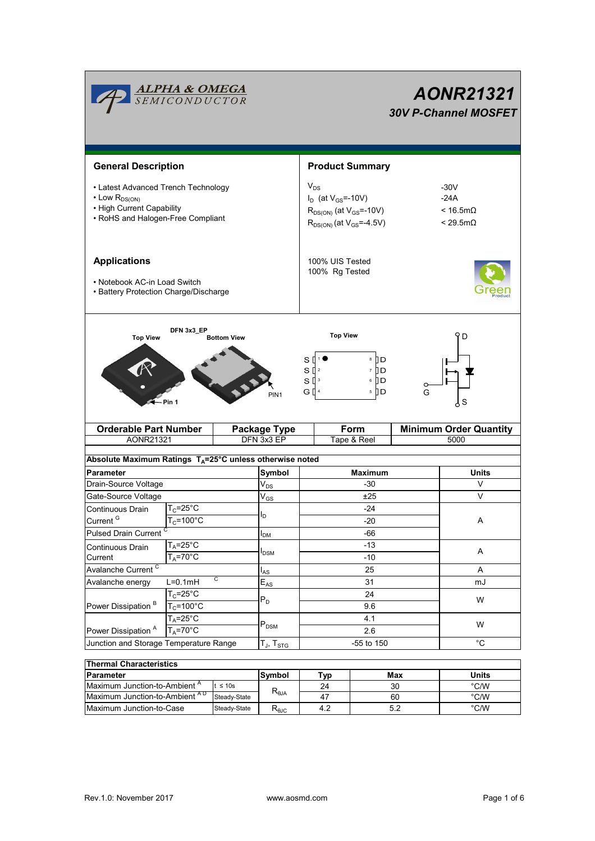|                                                                                                                                                                                              | <b>ALPHA &amp; OMEGA</b><br>SEMICONDUCTOR                                                                         |                                                                                                                  |                                   | AONR21321<br><b>30V P-Channel MOSFET</b> |                                                                        |       |                                       |  |  |
|----------------------------------------------------------------------------------------------------------------------------------------------------------------------------------------------|-------------------------------------------------------------------------------------------------------------------|------------------------------------------------------------------------------------------------------------------|-----------------------------------|------------------------------------------|------------------------------------------------------------------------|-------|---------------------------------------|--|--|
| <b>General Description</b>                                                                                                                                                                   |                                                                                                                   |                                                                                                                  |                                   | <b>Product Summary</b>                   |                                                                        |       |                                       |  |  |
| • Latest Advanced Trench Technology<br>$\cdot$ Low $R_{DS(ON)}$<br>• High Current Capability<br>• RoHS and Halogen-Free Compliant                                                            |                                                                                                                   | $V_{DS}$<br>$I_D$ (at $V_{GS}$ =-10V)<br>$R_{DS(ON)}$ (at $V_{GS}$ =-10V)<br>$R_{DS(ON)}$ (at $V_{GS} = -4.5V$ ) |                                   |                                          | $-30V$<br>$-24A$<br>$< 16.5 \text{m}\Omega$<br>$< 29.5 \text{m}\Omega$ |       |                                       |  |  |
| <b>Applications</b><br>• Notebook AC-in Load Switch<br>• Battery Protection Charge/Discharge                                                                                                 |                                                                                                                   | 100% UIS Tested<br>100% Rg Tested                                                                                |                                   |                                          |                                                                        |       |                                       |  |  |
| DFN 3x3_EP<br><b>Top View</b><br>D<br><b>Top View</b><br><b>Bottom View</b><br>8 ∏ D<br>s<br>$S^{2}$<br>7 II D<br>6 D<br>$S^{13}$<br>5    D<br>G [] 4<br>G<br>PIN <sub>1</sub><br>S<br>Pin 1 |                                                                                                                   |                                                                                                                  |                                   |                                          |                                                                        |       |                                       |  |  |
| <b>Orderable Part Number</b><br>AONR21321                                                                                                                                                    |                                                                                                                   |                                                                                                                  | <b>Package Type</b><br>DFN 3x3 EP |                                          | Form<br>Tape & Reel                                                    |       | <b>Minimum Order Quantity</b><br>5000 |  |  |
|                                                                                                                                                                                              |                                                                                                                   |                                                                                                                  |                                   |                                          |                                                                        |       |                                       |  |  |
| Absolute Maximum Ratings $T_A = 25^\circ \text{C}$ unless otherwise noted                                                                                                                    |                                                                                                                   |                                                                                                                  |                                   |                                          |                                                                        |       |                                       |  |  |
| <b>Parameter</b>                                                                                                                                                                             |                                                                                                                   |                                                                                                                  | Symbol                            | <b>Maximum</b>                           |                                                                        | Units |                                       |  |  |
| Drain-Source Voltage                                                                                                                                                                         |                                                                                                                   |                                                                                                                  | $V_{DS}$                          | $-30$                                    |                                                                        |       | V                                     |  |  |
| Gate-Source Voltage                                                                                                                                                                          |                                                                                                                   |                                                                                                                  | $V_{GS}$                          | ±25                                      |                                                                        |       | V                                     |  |  |
| Continuous Drain                                                                                                                                                                             | $T_c = 25^\circ C$                                                                                                |                                                                                                                  | I <sub>D</sub>                    | $-24$                                    |                                                                        |       |                                       |  |  |
| Current <sup>G</sup>                                                                                                                                                                         |                                                                                                                   | $T_c = 100^{\circ}$ C                                                                                            |                                   | $-20$                                    |                                                                        |       |                                       |  |  |
| <b>Pulsed Drain Current</b>                                                                                                                                                                  |                                                                                                                   |                                                                                                                  | $I_{DM}$                          | $-66$                                    |                                                                        |       |                                       |  |  |
| Continuous Drain                                                                                                                                                                             | $T_A = 25$ °C                                                                                                     |                                                                                                                  | $I_{DSM}$                         | $-13$                                    |                                                                        | A     |                                       |  |  |
| $T_A = 70$ °C<br>Current                                                                                                                                                                     |                                                                                                                   |                                                                                                                  |                                   | $-10$                                    |                                                                        |       |                                       |  |  |
| Avalanche Current <sup>C</sup><br>C                                                                                                                                                          |                                                                                                                   |                                                                                                                  | $I_{AS}$                          | 25                                       |                                                                        |       | Α                                     |  |  |
| Avalanche energy                                                                                                                                                                             | $L=0.1mH$<br>$T_C = 25^\circ \overline{C}$<br>$T_c = 100^{\circ}$ C<br>$T_A = 25^{\circ}$ C<br>$T_A = 70^\circ C$ |                                                                                                                  | $E_{AS}$<br>$P_D$<br>$P_{DSM}$    | 31<br>24<br>9.6<br>4.1<br>2.6            |                                                                        |       | mJ                                    |  |  |
| Power Dissipation <sup>B</sup>                                                                                                                                                               |                                                                                                                   |                                                                                                                  |                                   |                                          |                                                                        | W     |                                       |  |  |
|                                                                                                                                                                                              |                                                                                                                   |                                                                                                                  |                                   |                                          |                                                                        |       |                                       |  |  |
| Power Dissipation <sup>A</sup>                                                                                                                                                               |                                                                                                                   |                                                                                                                  |                                   |                                          |                                                                        |       | W                                     |  |  |
| Junction and Storage Temperature Range                                                                                                                                                       |                                                                                                                   |                                                                                                                  | $T_J$ , $T_{STG}$                 | -55 to 150                               |                                                                        |       | $^{\circ}$ C                          |  |  |
|                                                                                                                                                                                              |                                                                                                                   |                                                                                                                  |                                   |                                          |                                                                        |       |                                       |  |  |
| <b>Thermal Characteristics</b>                                                                                                                                                               |                                                                                                                   |                                                                                                                  |                                   |                                          |                                                                        |       |                                       |  |  |
| <b>Parameter</b>                                                                                                                                                                             |                                                                                                                   |                                                                                                                  | Symbol                            | <b>Typ</b>                               |                                                                        | Max   | <b>Units</b>                          |  |  |
| Maximum Junction-to-Ambient <sup>A</sup><br>t $\leq 10$ s                                                                                                                                    |                                                                                                                   |                                                                                                                  | $R_{\theta JA}$                   | 24                                       |                                                                        | 30    | $^{\circ}$ C/W                        |  |  |
| Maximum Junction-to-Ambient AD<br>Steady-State                                                                                                                                               |                                                                                                                   |                                                                                                                  |                                   | 47                                       |                                                                        | 60    | $^{\circ}$ C/W                        |  |  |

Maximum Junction-to-Case Steady-State R<sub>BJC</sub> 4.2 5.2 <sup>°C/W</sup>

4.2

60 5.2

Steady-State

Steady-State  $R_{\theta JC}$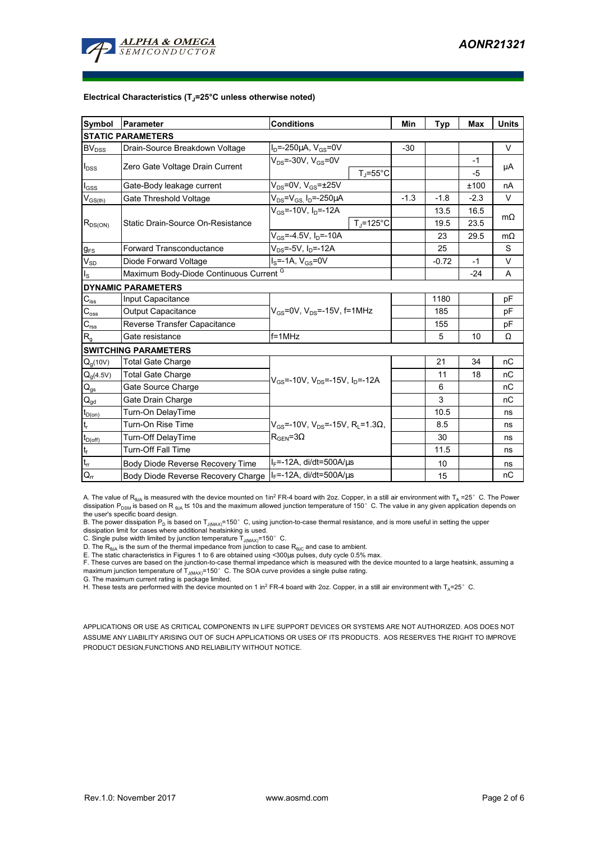

#### **Electrical Characteristics (TJ=25°C unless otherwise noted)**

| Symbol                                 | Parameter                                                         | <b>Conditions</b>                                                     | Min    | <b>Typ</b> | <b>Max</b> | <b>Units</b> |  |  |  |  |  |  |
|----------------------------------------|-------------------------------------------------------------------|-----------------------------------------------------------------------|--------|------------|------------|--------------|--|--|--|--|--|--|
| <b>STATIC PARAMETERS</b>               |                                                                   |                                                                       |        |            |            |              |  |  |  |  |  |  |
| <b>BV<sub>DSS</sub></b>                | Drain-Source Breakdown Voltage                                    | $I_D = -250 \mu A$ , $V_{GS} = 0V$                                    | $-30$  |            |            | $\vee$       |  |  |  |  |  |  |
| $I_{DSS}$                              | Zero Gate Voltage Drain Current                                   | $V_{DS}$ =-30V, $V_{GS}$ =0V                                          |        |            | $-1$       | μA           |  |  |  |  |  |  |
|                                        |                                                                   | $T_J = 55^{\circ}C$                                                   |        |            | $-5$       |              |  |  |  |  |  |  |
| $I_{\rm GSS}$                          | Gate-Body leakage current                                         | $V_{DS}$ =0V, $V_{GS}$ = $\pm$ 25V                                    |        |            | ±100       | nA           |  |  |  |  |  |  |
| $V_{GS(th)}$                           | Gate Threshold Voltage                                            | $V_{DS}$ = $V_{GS}$ , $I_D$ =-250 $\mu$ A                             | $-1.3$ | $-1.8$     | $-2.3$     | V            |  |  |  |  |  |  |
| $R_{DS(ON)}$                           | Static Drain-Source On-Resistance                                 | $V_{\text{GS}} = -10V$ , $I_{\text{D}} = -12A$                        |        | 13.5       | 16.5       | $m\Omega$    |  |  |  |  |  |  |
|                                        |                                                                   | $T_i = 125^{\circ}C$                                                  |        | 19.5       | 23.5       |              |  |  |  |  |  |  |
|                                        |                                                                   | $V_{GS} = -4.5V$ , $I_D = -10A$                                       |        | 23         | 29.5       | $m\Omega$    |  |  |  |  |  |  |
| g <sub>FS</sub>                        | $V_{DS} = -5V$ , $I_D = -12A$<br><b>Forward Transconductance</b>  |                                                                       |        | 25         |            | S            |  |  |  |  |  |  |
| $\dot{V}_{SD}$                         | Diode Forward Voltage<br>$I_S$ =-1A, $V_{GS}$ =0V                 |                                                                       |        | $-0.72$    | $-1$       | $\vee$       |  |  |  |  |  |  |
| $I_{\rm S}$                            | Maximum Body-Diode Continuous Current <sup>G</sup>                |                                                                       |        | $-24$      | A          |              |  |  |  |  |  |  |
|                                        | <b>DYNAMIC PARAMETERS</b>                                         |                                                                       |        |            |            |              |  |  |  |  |  |  |
| $C_{\text{iss}}$                       | Input Capacitance                                                 |                                                                       |        | 1180       |            | pF           |  |  |  |  |  |  |
| $C_{\rm oss}$                          | $V_{GS}$ =0V, $V_{DS}$ =-15V, f=1MHz<br><b>Output Capacitance</b> |                                                                       |        | 185        |            | pF           |  |  |  |  |  |  |
| $C_{\text{rss}}$                       | Reverse Transfer Capacitance                                      |                                                                       |        | 155        |            | рF           |  |  |  |  |  |  |
| $R_{q}$                                | $f = 1$ MHz<br>Gate resistance                                    |                                                                       |        | 5          | 10         | Ω            |  |  |  |  |  |  |
|                                        | <b>SWITCHING PARAMETERS</b>                                       |                                                                       |        |            |            |              |  |  |  |  |  |  |
| $Q_q(10V)$                             | <b>Total Gate Charge</b>                                          |                                                                       |        | 21         | 34         | nC           |  |  |  |  |  |  |
| $Q_g(4.5V)$                            | <b>Total Gate Charge</b>                                          | $V_{GS}$ =-10V, $V_{DS}$ =-15V, $I_{D}$ =-12A                         |        | 11         | 18         | nC           |  |  |  |  |  |  |
| $Q_{gs}$                               | Gate Source Charge                                                |                                                                       |        | 6          |            | nC           |  |  |  |  |  |  |
| $\mathsf{Q}_{\underline{\mathsf{gd}}}$ | Gate Drain Charge                                                 |                                                                       |        | 3          |            | nC           |  |  |  |  |  |  |
| $t_{D(on)}$                            | Turn-On DelayTime                                                 |                                                                       |        | 10.5       |            | ns           |  |  |  |  |  |  |
| t,                                     | Turn-On Rise Time                                                 | $V_{GS}$ =-10V, V <sub>DS</sub> =-15V, R <sub>L</sub> =1.3 $\Omega$ , |        | 8.5        |            | ns           |  |  |  |  |  |  |
| $t_{D(off)}$                           | Turn-Off DelayTime                                                | $R_{\text{GEN}} = 3\Omega$                                            |        | 30         |            | ns           |  |  |  |  |  |  |
| $t_f$                                  | <b>Turn-Off Fall Time</b>                                         |                                                                       |        | 11.5       |            | ns           |  |  |  |  |  |  |
| $t_{rr}$                               | Body Diode Reverse Recovery Time                                  | $I_F$ =-12A, di/dt=500A/ $\mu$ s                                      |        | 10         |            | ns           |  |  |  |  |  |  |
| $Q_{rr}$                               | Body Diode Reverse Recovery Charge                                | $I_F$ =-12A, di/dt=500A/ $\mu$ s                                      |        | 15         |            | nC           |  |  |  |  |  |  |

A. The value of R<sub>BJA</sub> is measured with the device mounted on 1in<sup>2</sup> FR-4 board with 2oz. Copper, in a still air environment with T<sub>A</sub> =25° C. The Power dissipation P<sub>DSM</sub> is based on R <sub>θJA</sub> t≤ 10s and the maximum allowed junction temperature of 150°C. The value in any given application depends on

the user's specific board design.<br>B. The power dissipation P<sub>D</sub> is based on T<sub>J(MAX)</sub>=150° C, using junction-to-case thermal resistance, and is more useful in setting the upper<br>dissipation limit for cases where additional

C. Single pulse width limited by junction temperature  $T_{J(MAX)}$ =150°C.

D. The  $R_{\theta JA}$  is the sum of the thermal impedance from junction to case  $R_{\theta JC}$  and case to ambient.

E. The static characteristics in Figures 1 to 6 are obtained using <300us pulses, duty cycle 0.5% max.

F. These curves are based on the junction-to-case thermal impedance which is measured with the device mounted to a large heatsink, assuming a maximum junction temperature of  $T_{J(MAX)}$ =150°C. The SOA curve provides a single pulse rating.

G. The maximum current rating is package limited.

H. These tests are performed with the device mounted on 1 in<sup>2</sup> FR-4 board with 2oz. Copper, in a still air environment with T<sub>A</sub>=25°C.

APPLICATIONS OR USE AS CRITICAL COMPONENTS IN LIFE SUPPORT DEVICES OR SYSTEMS ARE NOT AUTHORIZED. AOS DOES NOT ASSUME ANY LIABILITY ARISING OUT OF SUCH APPLICATIONS OR USES OF ITS PRODUCTS. AOS RESERVES THE RIGHT TO IMPROVE PRODUCT DESIGN,FUNCTIONS AND RELIABILITY WITHOUT NOTICE.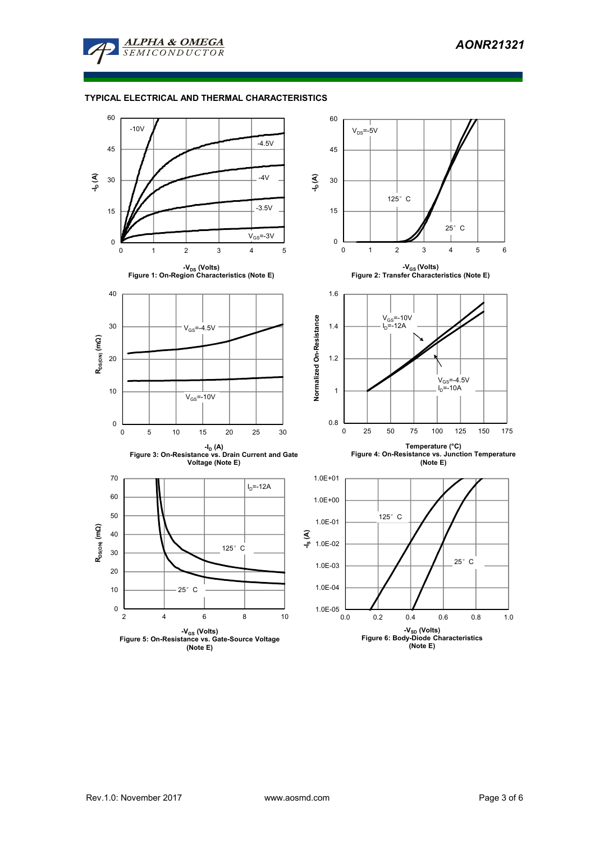

### **TYPICAL ELECTRICAL AND THERMAL CHARACTERISTICS**

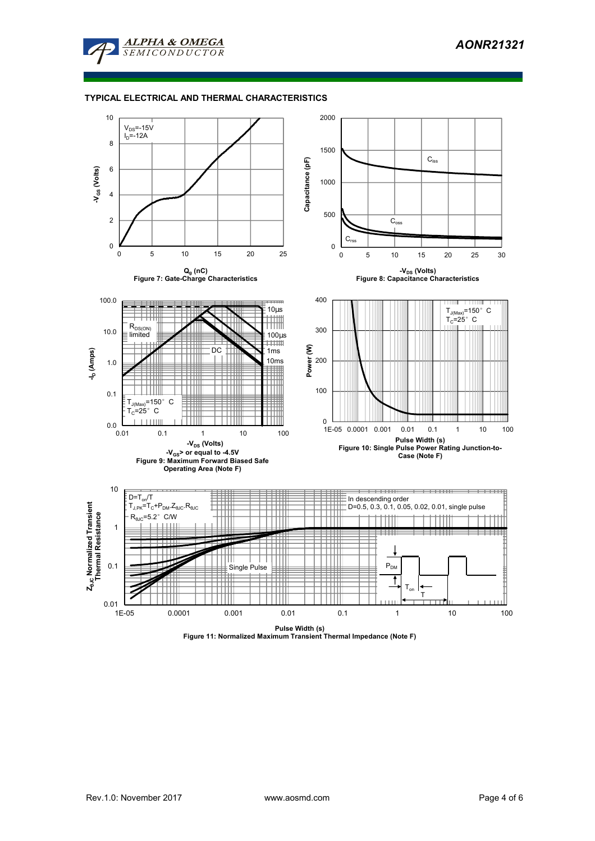

### **TYPICAL ELECTRICAL AND THERMAL CHARACTERISTICS**



**Pulse Width (s) Figure 11: Normalized Maximum Transient Thermal Impedance (Note F)**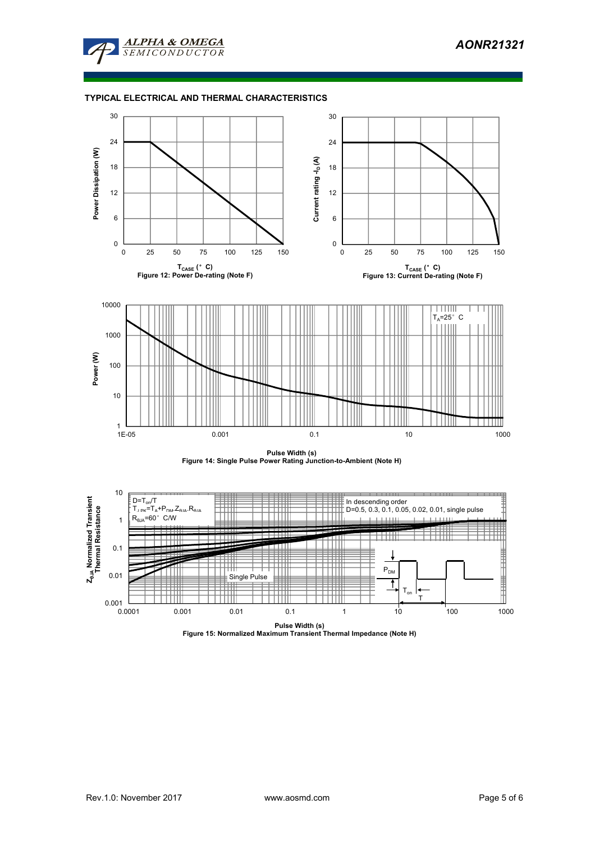

### **TYPICAL ELECTRICAL AND THERMAL CHARACTERISTICS**